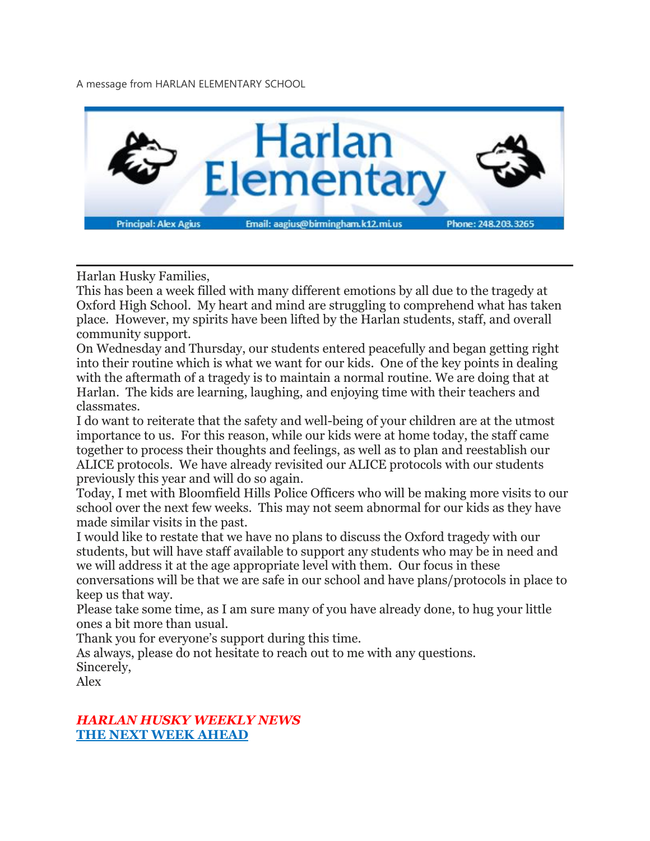A message from HARLAN ELEMENTARY SCHOOL



Harlan Husky Families,

This has been a week filled with many different emotions by all due to the tragedy at Oxford High School. My heart and mind are struggling to comprehend what has taken place. However, my spirits have been lifted by the Harlan students, staff, and overall community support.

On Wednesday and Thursday, our students entered peacefully and began getting right into their routine which is what we want for our kids. One of the key points in dealing with the aftermath of a tragedy is to maintain a normal routine. We are doing that at Harlan. The kids are learning, laughing, and enjoying time with their teachers and classmates.

I do want to reiterate that the safety and well-being of your children are at the utmost importance to us. For this reason, while our kids were at home today, the staff came together to process their thoughts and feelings, as well as to plan and reestablish our ALICE protocols. We have already revisited our ALICE protocols with our students previously this year and will do so again.

Today, I met with Bloomfield Hills Police Officers who will be making more visits to our school over the next few weeks. This may not seem abnormal for our kids as they have made similar visits in the past.

I would like to restate that we have no plans to discuss the Oxford tragedy with our students, but will have staff available to support any students who may be in need and we will address it at the age appropriate level with them. Our focus in these conversations will be that we are safe in our school and have plans/protocols in place to keep us that way.

Please take some time, as I am sure many of you have already done, to hug your little ones a bit more than usual.

Thank you for everyone's support during this time.

As always, please do not hesitate to reach out to me with any questions. Sincerely,

Alex

#### *HARLAN HUSKY WEEKLY NEWS* **THE NEXT WEEK AHEAD**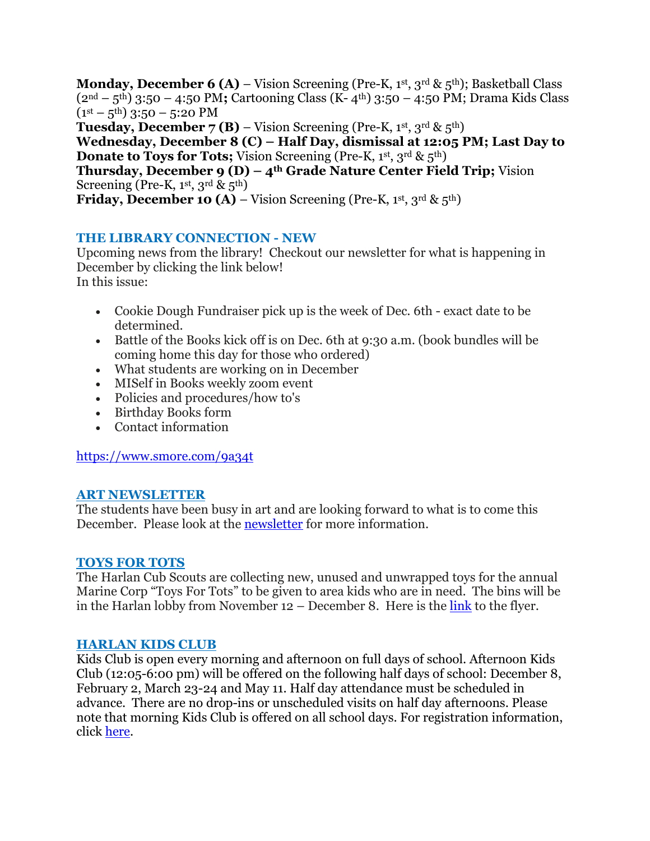**Monday, December 6 (A)** – Vision Screening (Pre-K, 1st, 3rd & 5<sup>th</sup>); Basketball Class (2nd – 5th) 3:50 – 4:50 PM**;** Cartooning Class (K- 4th) 3:50 – 4:50 PM; Drama Kids Class  $(1<sup>st</sup> – 5<sup>th</sup>)$  3:50 – 5:20 PM **Tuesday, December 7 (B)** – Vision Screening (Pre-K, 1st, 3rd & 5<sup>th</sup>) **Wednesday, December 8 (C) – Half Day, dismissal at 12:05 PM; Last Day to Donate to Toys for Tots;** Vision Screening (Pre-K, 1st, 3rd & 5<sup>th</sup>) **Thursday, December 9 (D) – 4th Grade Nature Center Field Trip;** Vision Screening (Pre-K, 1st, 3rd &  $5<sup>th</sup>$ )

**Friday, December 10 (A)** – Vision Screening (Pre-K, 1<sup>st</sup>, 3<sup>rd</sup> & 5<sup>th</sup>)

## **THE LIBRARY CONNECTION - NEW**

Upcoming news from the library! Checkout our newsletter for what is happening in December by clicking the link below! In this issue:

- Cookie Dough Fundraiser pick up is the week of Dec. 6th exact date to be determined.
- Battle of the Books kick off is on Dec. 6th at 9:30 a.m. (book bundles will be coming home this day for those who ordered)
- What students are working on in December
- MISelf in Books weekly zoom event
- Policies and procedures/how to's
- Birthday Books form
- Contact information

<https://www.smore.com/9a34t>

### **ART NEWSLETTER**

The students have been busy in art and are looking forward to what is to come this December. Please look at the [newsletter](https://drive.google.com/file/d/1XwDk_0J0Turwu60ckw90hhD_vTDTZrSG/view?usp=sharing) for more information.

### **TOYS FOR TOTS**

The Harlan Cub Scouts are collecting new, unused and unwrapped toys for the annual Marine Corp "Toys For Tots" to be given to area kids who are in need. The bins will be in the Harlan lobby from November 12 – December 8. Here is the [link](https://drive.google.com/file/d/1BoDsq-4AbW3GA2-NMvv3DfKXkym-Z3U3/view?usp=sharing) to the flyer.

### **HARLAN KIDS CLUB**

Kids Club is open every morning and afternoon on full days of school. Afternoon Kids Club (12:05-6:00 pm) will be offered on the following half days of school: December 8, February 2, March 23-24 and May 11. Half day attendance must be scheduled in advance. There are no drop-ins or unscheduled visits on half day afternoons. Please note that morning Kids Club is offered on all school days. For registration information, click [here.](https://www.birmingham.k12.mi.us/cms/lib/MI01908619/Centricity/Domain/494/2021-2022%20KIDS%20CLUB%20registration%20instructions.pdf)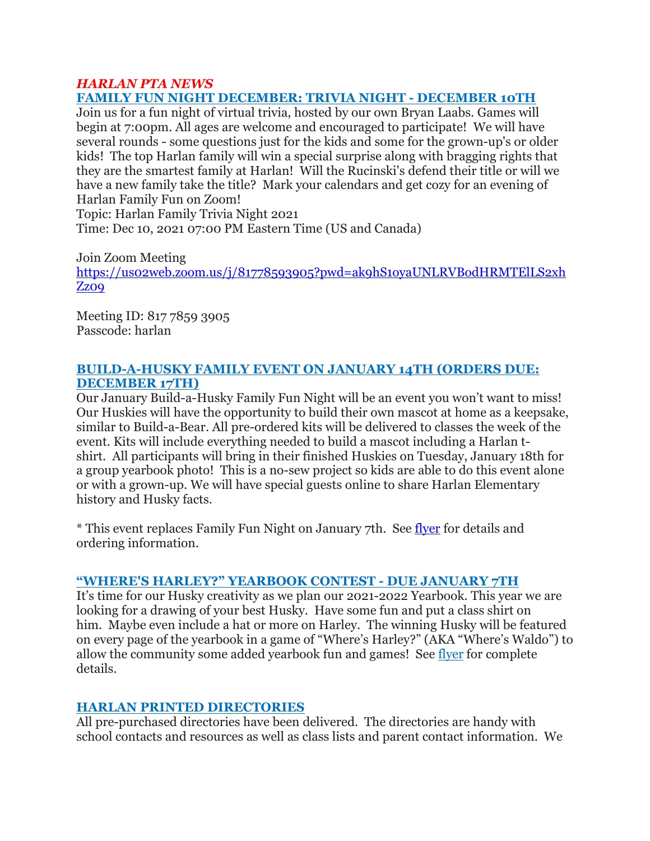#### *HARLAN PTA NEWS* **FAMILY FUN NIGHT DECEMBER: TRIVIA NIGHT - DECEMBER 10TH**

Join us for a fun night of virtual trivia, hosted by our own Bryan Laabs. Games will begin at 7:00pm. All ages are welcome and encouraged to participate! We will have several rounds - some questions just for the kids and some for the grown-up's or older kids! The top Harlan family will win a special surprise along with bragging rights that they are the smartest family at Harlan! Will the Rucinski's defend their title or will we have a new family take the title? Mark your calendars and get cozy for an evening of Harlan Family Fun on Zoom!

Topic: Harlan Family Trivia Night 2021

Time: Dec 10, 2021 07:00 PM Eastern Time (US and Canada)

Join Zoom Meeting

[https://us02web.zoom.us/j/81778593905?pwd=ak9hS1oyaUNLRVBodHRMTElLS2xh](https://us02web.zoom.us/j/81778593905?pwd=ak9hS1oyaUNLRVBodHRMTElLS2xhZz09) [Zz09](https://us02web.zoom.us/j/81778593905?pwd=ak9hS1oyaUNLRVBodHRMTElLS2xhZz09)

Meeting ID: 817 7859 3905 Passcode: harlan

## **BUILD-A-HUSKY FAMILY EVENT ON JANUARY 14TH (ORDERS DUE: DECEMBER 17TH)**

Our January Build-a-Husky Family Fun Night will be an event you won't want to miss! Our Huskies will have the opportunity to build their own mascot at home as a keepsake, similar to Build-a-Bear. All pre-ordered kits will be delivered to classes the week of the event. Kits will include everything needed to build a mascot including a Harlan tshirt. All participants will bring in their finished Huskies on Tuesday, January 18th for a group yearbook photo! This is a no-sew project so kids are able to do this event alone or with a grown-up. We will have special guests online to share Harlan Elementary history and Husky facts.

\* This event replaces Family Fun Night on January 7th. See [flyer](https://drive.google.com/file/d/1AV60Eq4HgGo8j7xl1DLD2LGzGMaZuY_1/view?usp=sharing) for details and ordering information.

## **"WHERE'S HARLEY?" YEARBOOK CONTEST - DUE JANUARY 7TH**

It's time for our Husky creativity as we plan our 2021-2022 Yearbook. This year we are looking for a drawing of your best Husky. Have some fun and put a class shirt on him. Maybe even include a hat or more on Harley. The winning Husky will be featured on every page of the yearbook in a game of "Where's Harley?" (AKA "Where's Waldo") to allow the community some added yearbook fun and games! See [flyer](https://drive.google.com/file/d/1pmteOuzJ_xwDduy2TeqZfrYAaBpjtIZK/view?usp=sharing) for complete details.

## **HARLAN PRINTED DIRECTORIES**

All pre-purchased directories have been delivered. The directories are handy with school contacts and resources as well as class lists and parent contact information. We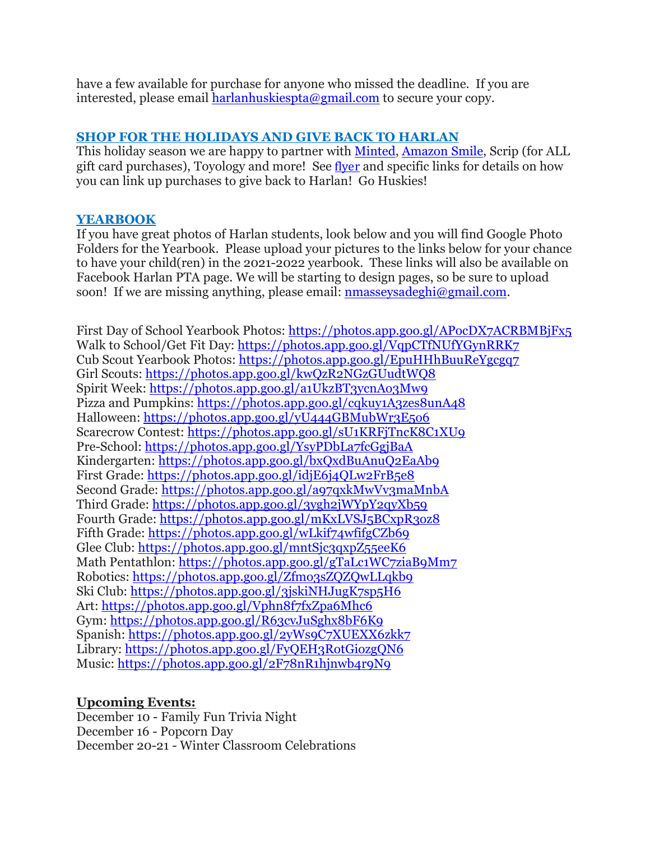have a few available for purchase for anyone who missed the deadline. If you are interested, please email  $harlankiess pta@gmail.com$  to secure your copy.

### **SHOP FOR THE HOLIDAYS AND GIVE BACK TO HARLAN**

This holiday season we are happy to partner with [Minted,](https://drive.google.com/file/d/1kBWb9I8qmFZS4L79i9c9n__cHPwet1Nm/view?usp=sharing) [Amazon](https://drive.google.com/file/d/1AxA8Hnb3Q6JufYKxm2C9uAn2JC1mtT95/view?usp=sharing) Smile, Scrip (for ALL gift card purchases), Toyology and more! See [flyer](https://drive.google.com/file/d/17iPgiv81OgFvjfSJbU65MtykqD9mfQ97/view?usp=sharing) and specific links for details on how you can link up purchases to give back to Harlan! Go Huskies!

## **YEARBOOK**

If you have great photos of Harlan students, look below and you will find Google Photo Folders for the Yearbook. Please upload your pictures to the links below for your chance to have your child(ren) in the 2021-2022 yearbook. These links will also be available on Facebook Harlan PTA page. We will be starting to design pages, so be sure to upload soon! If we are missing anything, please email: [nmasseysadeghi@gmail.com.](mailto:nmasseysadeghi@gmail.com)

First Day of School Yearbook Photos: <https://photos.app.goo.gl/APocDX7ACRBMBjFx5> Walk to School/Get Fit Day: <https://photos.app.goo.gl/VqpCTfNUfYGynRRK7> Cub Scout Yearbook Photos: <https://photos.app.goo.gl/EpuHHhBuuReYgcgq7> Girl Scouts: <https://photos.app.goo.gl/kwQzR2NGzGUudtWQ8> Spirit Week: <https://photos.app.goo.gl/a1UkzBT3ycnAo3Mw9> Pizza and Pumpkins: <https://photos.app.goo.gl/cqkuy1A3zes8unA48> Halloween: <https://photos.app.goo.gl/yU444GBMubWr3E5o6> Scarecrow Contest: <https://photos.app.goo.gl/sU1KRFjTncK8C1XU9> Pre-School: <https://photos.app.goo.gl/YsyPDbLa7fcGgjBaA> Kindergarten: <https://photos.app.goo.gl/bxQxdBuAnuQ2EaAb9> First Grade: <https://photos.app.goo.gl/idjE6j4QLw2FrB5e8> Second Grade: <https://photos.app.goo.gl/a97qxkMwVv3maMnbA> Third Grade: <https://photos.app.goo.gl/3ygh2jWYpY2qyXb59> Fourth Grade: <https://photos.app.goo.gl/mKxLVSJ5BCxpR3oz8> Fifth Grade: <https://photos.app.goo.gl/wLkif74wfifgCZb69> Glee Club: <https://photos.app.goo.gl/mntSjc3qxpZ55eeK6> Math Pentathlon: <https://photos.app.goo.gl/gTaLc1WC7ziaB9Mm7> Robotics: <https://photos.app.goo.gl/Zfmo3sZQZQwLLqkb9> Ski Club: <https://photos.app.goo.gl/3jskiNHJugK7sp5H6> Art: <https://photos.app.goo.gl/Vphn8f7fxZpa6Mhc6> Gym: <https://photos.app.goo.gl/R63cvJuSghx8bF6K9> Spanish: <https://photos.app.goo.gl/2yWs9C7XUEXX6zkk7> Library: <https://photos.app.goo.gl/FyQEH3RotGiozgQN6> Music: <https://photos.app.goo.gl/2F78nR1hjnwb4r9N9>

### **Upcoming Events:**

December 10 - Family Fun Trivia Night December 16 - Popcorn Day December 20-21 - Winter Classroom Celebrations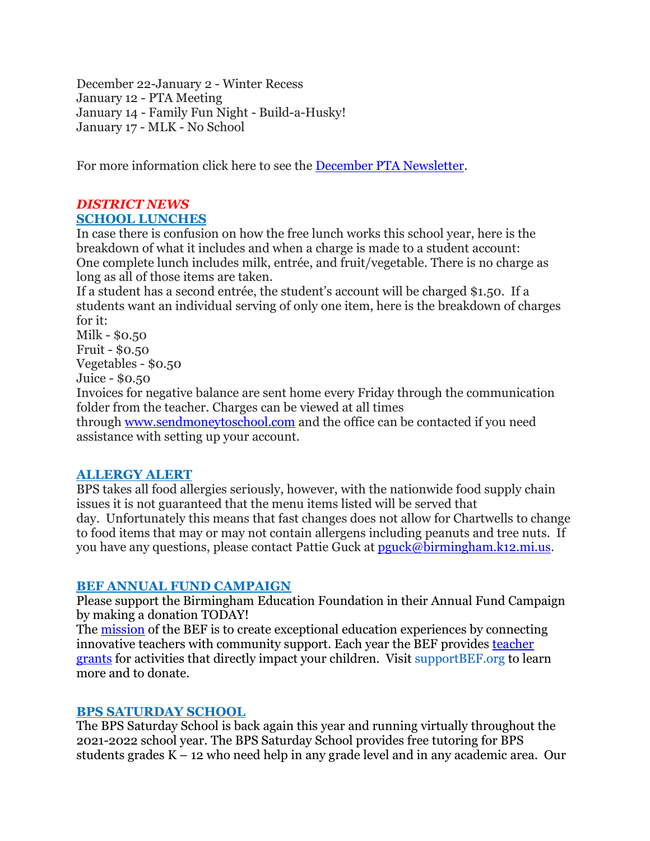December 22-January 2 - Winter Recess January 12 - PTA Meeting January 14 - Family Fun Night - Build-a-Husky! January 17 - MLK - No School

For more information click here to see the December PTA [Newsletter.](https://drive.google.com/file/d/12i36iJyD-JgC6HuG8HhWq5LnHK5upWrB/view?usp=sharing)

# *DISTRICT NEWS* **SCHOOL LUNCHES**

In case there is confusion on how the free lunch works this school year, here is the breakdown of what it includes and when a charge is made to a student account: One complete lunch includes milk, entrée, and fruit/vegetable. There is no charge as long as all of those items are taken.

If a student has a second entrée, the student's account will be charged \$1.50. If a students want an individual serving of only one item, here is the breakdown of charges for it:

Milk - \$0.50 Fruit - \$0.50 Vegetables - \$0.50 Juice - \$0.50

Invoices for negative balance are sent home every Friday through the communication folder from the teacher. Charges can be viewed at all times through [www.sendmoneytoschool.com](http://www.sendmoneytoschool.com/) and the office can be contacted if you need assistance with setting up your account.

## **ALLERGY ALERT**

BPS takes all food allergies seriously, however, with the nationwide food supply chain issues it is not guaranteed that the menu items listed will be served that day. Unfortunately this means that fast changes does not allow for Chartwells to change to food items that may or may not contain allergens including peanuts and tree nuts. If you have any questions, please contact Pattie Guck at  $pguck@birmingham.k12.mi.us.$ 

## **BEF ANNUAL FUND CAMPAIGN**

Please support the Birmingham Education Foundation in their Annual Fund Campaign by making a donation TODAY!

The [mission](https://drive.google.com/file/d/17jjIpnP2vpuLuj2TzYWP12JJuAW7uCgr/view?usp=sharing) of the BEF is to create exceptional education experiences by connecting innovative teachers with community support. Each year the BEF provides [teacher](https://drive.google.com/file/d/110A1vbj1oll00IUIFPsH6swkDZfRfPl9/view?usp=sharing) [grants](https://drive.google.com/file/d/110A1vbj1oll00IUIFPsH6swkDZfRfPl9/view?usp=sharing) for activities that directly impact your children. Visit supportBEF.org to learn more and to donate.

## **BPS SATURDAY SCHOOL**

The BPS Saturday School is back again this year and running virtually throughout the 2021-2022 school year. The BPS Saturday School provides free tutoring for BPS students grades K – 12 who need help in any grade level and in any academic area. Our